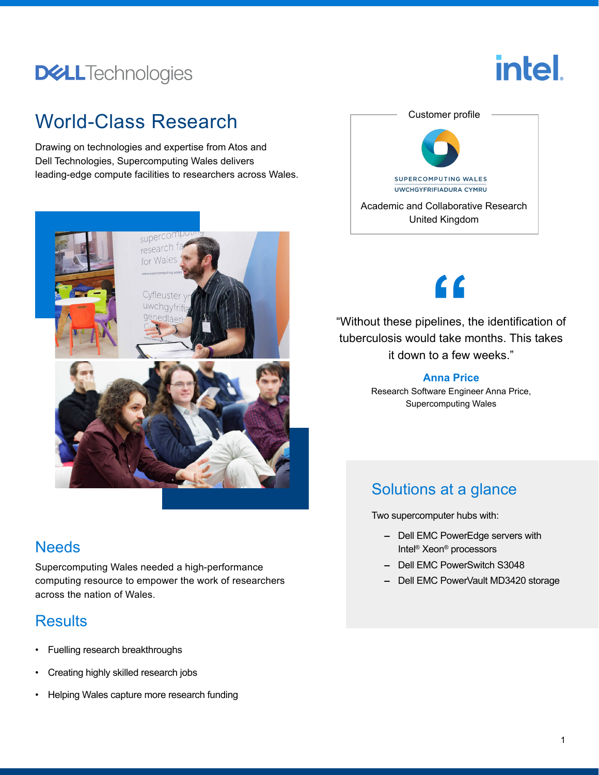## **DELL**Technologies

# intel.

## World-Class Research

Drawing on technologies and expertise from Atos and Dell Technologies, Supercomputing Wales delivers leading-edge compute facilities to researchers across Wales.



#### **Needs**

Supercomputing Wales needed a high-performance computing resource to empower the work of researchers across the nation of Wales.

## **Results**

- Fuelling research breakthroughs
- Creating highly skilled research jobs
- Helping Wales capture more research funding



## $\epsilon$

"Without these pipelines, the identification of tuberculosis would take months. This takes it down to a few weeks."

#### **Anna Price**

Research Software Engineer Anna Price, Supercomputing Wales

## Solutions at a glance

Two supercomputer hubs with:

- **–** Dell EMC PowerEdge servers with Intel® Xeon® processors
- **–** Dell EMC PowerSwitch S3048
- **–** Dell EMC PowerVault MD3420 storage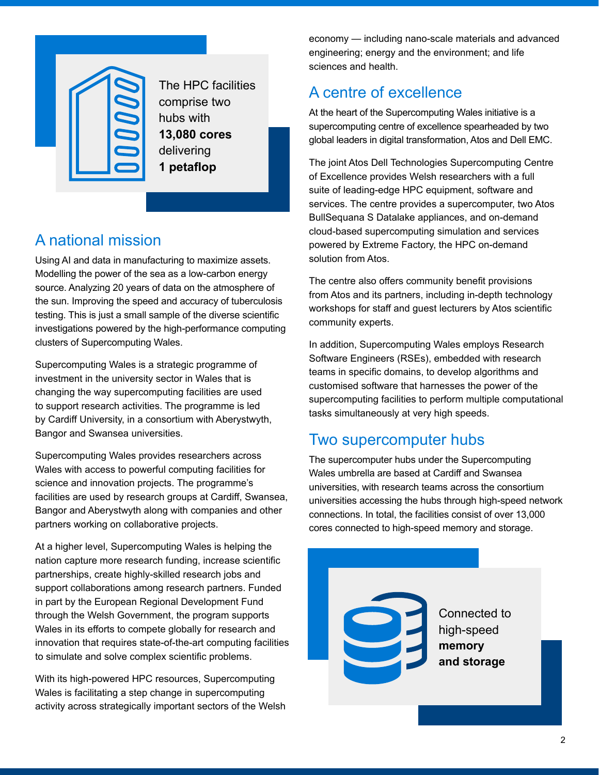

The HPC facilities comprise two hubs with **13,080 cores** delivering **1 petaflop**

## A national mission

Using AI and data in manufacturing to maximize assets. Modelling the power of the sea as a low-carbon energy source. Analyzing 20 years of data on the atmosphere of the sun. Improving the speed and accuracy of tuberculosis testing. This is just a small sample of the diverse scientific investigations powered by the high-performance computing clusters of Supercomputing Wales.

Supercomputing Wales is a strategic programme of investment in the university sector in Wales that is changing the way supercomputing facilities are used to support research activities. The programme is led by Cardiff University, in a consortium with Aberystwyth, Bangor and Swansea universities.

Supercomputing Wales provides researchers across Wales with access to powerful computing facilities for science and innovation projects. The programme's facilities are used by research groups at Cardiff, Swansea, Bangor and Aberystwyth along with companies and other partners working on collaborative projects.

At a higher level, Supercomputing Wales is helping the nation capture more research funding, increase scientific partnerships, create highly-skilled research jobs and support collaborations among research partners. Funded in part by the European Regional Development Fund through the Welsh Government, the program supports Wales in its efforts to compete globally for research and innovation that requires state-of-the-art computing facilities to simulate and solve complex scientific problems.

With its high-powered HPC resources, Supercomputing Wales is facilitating a step change in supercomputing activity across strategically important sectors of the Welsh economy — including nano-scale materials and advanced engineering; energy and the environment; and life sciences and health.

### A centre of excellence

At the heart of the Supercomputing Wales initiative is a supercomputing centre of excellence spearheaded by two global leaders in digital transformation, Atos and Dell EMC.

The joint Atos Dell Technologies Supercomputing Centre of Excellence provides Welsh researchers with a full suite of leading-edge HPC equipment, software and services. The centre provides a supercomputer, two Atos BullSequana S Datalake appliances, and on-demand cloud-based supercomputing simulation and services powered by Extreme Factory, the HPC on-demand solution from Atos.

The centre also offers community benefit provisions from Atos and its partners, including in-depth technology workshops for staff and guest lecturers by Atos scientific community experts.

In addition, Supercomputing Wales employs Research Software Engineers (RSEs), embedded with research teams in specific domains, to develop algorithms and customised software that harnesses the power of the supercomputing facilities to perform multiple computational tasks simultaneously at very high speeds.

#### Two supercomputer hubs

The supercomputer hubs under the Supercomputing Wales umbrella are based at Cardiff and Swansea universities, with research teams across the consortium universities accessing the hubs through high-speed network connections. In total, the facilities consist of over 13,000 cores connected to high-speed memory and storage.

Connected to high-speed **memory and storage**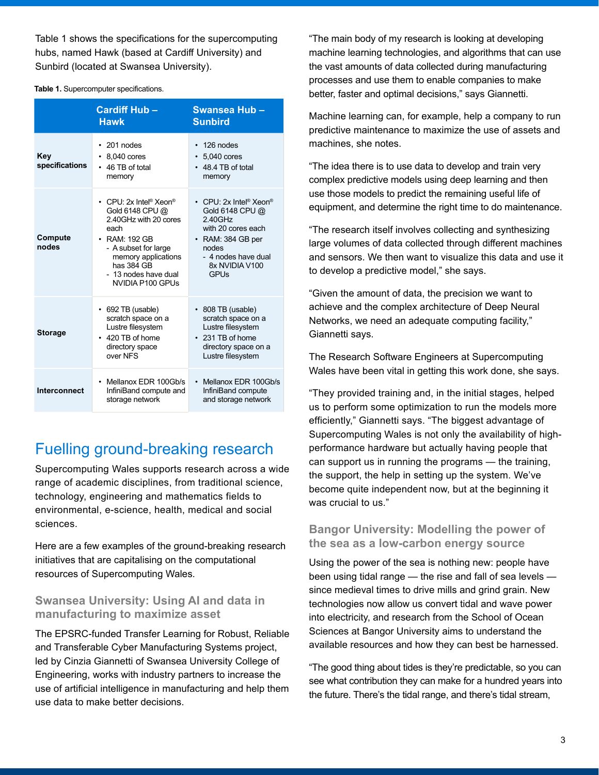Table 1 shows the specifications for the supercomputing hubs, named Hawk (based at Cardiff University) and Sunbird (located at Swansea University).

#### **Table 1.** Supercomputer specifications.

|                       | <b>Cardiff Hub-</b><br><b>Hawk</b>                                                                                                                                                                                                | Swansea Hub-<br><b>Sunbird</b>                                                                                                                                                            |
|-----------------------|-----------------------------------------------------------------------------------------------------------------------------------------------------------------------------------------------------------------------------------|-------------------------------------------------------------------------------------------------------------------------------------------------------------------------------------------|
| Key<br>specifications | $\cdot$ 201 nodes<br>8,040 cores<br>۰<br>46 TB of total<br>memory                                                                                                                                                                 | 126 nodes<br>$\bullet$<br>$\cdot$ 5,040 cores<br>$\cdot$ 48.4 TB of total<br>memory                                                                                                       |
| Compute<br>nodes      | • CPU 2x Intel <sup>®</sup> Xeon <sup>®</sup><br>Gold 6148 CPU @<br>2.40GHz with 20 cores<br>each<br>$\cdot$ RAM: 192 GB<br>- A subset for large<br>memory applications<br>has 384 GB<br>- 13 nodes have dual<br>NVIDIA P100 GPUs | • CPU: $2x$ Intel <sup>®</sup> Xeon <sup>®</sup><br>Gold 6148 CPU @<br>2.40GHz<br>with 20 cores each<br>$\cdot$ RAM: 384 GB per<br>nodes<br>- 4 nodes have dual<br>8x NVIDIA V100<br>GPUs |
| <b>Storage</b>        | $\cdot$ 692 TB (usable)<br>scratch space on a<br>Lustre filesystem<br>$\cdot$ 420 TB of home<br>directory space<br>over NFS                                                                                                       | $\cdot$ 808 TB (usable)<br>scratch space on a<br>Lustre filesystem<br>$\cdot$ 231 TB of home<br>directory space on a<br>Lustre filesystem                                                 |
| <b>Interconnect</b>   | • Mellanox EDR 100Gb/s<br>InfiniBand compute and<br>storage network                                                                                                                                                               | • Mellanox EDR 100Gb/s<br>InfiniBand compute<br>and storage network                                                                                                                       |

#### Fuelling ground-breaking research

Supercomputing Wales supports research across a wide range of academic disciplines, from traditional science, technology, engineering and mathematics fields to environmental, e-science, health, medical and social sciences.

Here are a few examples of the ground-breaking research initiatives that are capitalising on the computational resources of Supercomputing Wales.

#### **Swansea University: Using AI and data in manufacturing to maximize asset**

The EPSRC-funded Transfer Learning for Robust, Reliable and Transferable Cyber Manufacturing Systems project, led by Cinzia Giannetti of Swansea University College of Engineering, works with industry partners to increase the use of artificial intelligence in manufacturing and help them use data to make better decisions.

"The main body of my research is looking at developing machine learning technologies, and algorithms that can use the vast amounts of data collected during manufacturing processes and use them to enable companies to make better, faster and optimal decisions," says Giannetti.

Machine learning can, for example, help a company to run predictive maintenance to maximize the use of assets and machines, she notes.

"The idea there is to use data to develop and train very complex predictive models using deep learning and then use those models to predict the remaining useful life of equipment, and determine the right time to do maintenance.

"The research itself involves collecting and synthesizing large volumes of data collected through different machines and sensors. We then want to visualize this data and use it to develop a predictive model," she says.

"Given the amount of data, the precision we want to achieve and the complex architecture of Deep Neural Networks, we need an adequate computing facility," Giannetti says.

The Research Software Engineers at Supercomputing Wales have been vital in getting this work done, she says.

"They provided training and, in the initial stages, helped us to perform some optimization to run the models more efficiently," Giannetti says. "The biggest advantage of Supercomputing Wales is not only the availability of highperformance hardware but actually having people that can support us in running the programs — the training, the support, the help in setting up the system. We've become quite independent now, but at the beginning it was crucial to us."

#### **Bangor University: Modelling the power of the sea as a low-carbon energy source**

Using the power of the sea is nothing new: people have been using tidal range — the rise and fall of sea levels since medieval times to drive mills and grind grain. New technologies now allow us convert tidal and wave power into electricity, and research from the School of Ocean Sciences at Bangor University aims to understand the available resources and how they can best be harnessed.

"The good thing about tides is they're predictable, so you can see what contribution they can make for a hundred years into the future. There's the tidal range, and there's tidal stream,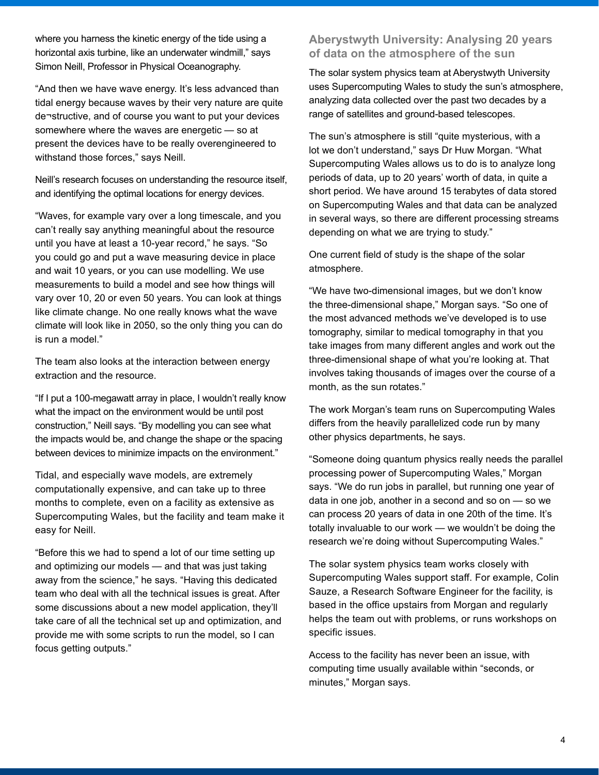where you harness the kinetic energy of the tide using a horizontal axis turbine, like an underwater windmill," says Simon Neill, Professor in Physical Oceanography.

"And then we have wave energy. It's less advanced than tidal energy because waves by their very nature are quite de¬structive, and of course you want to put your devices somewhere where the waves are energetic — so at present the devices have to be really overengineered to withstand those forces," says Neill.

Neill's research focuses on understanding the resource itself, and identifying the optimal locations for energy devices.

"Waves, for example vary over a long timescale, and you can't really say anything meaningful about the resource until you have at least a 10-year record," he says. "So you could go and put a wave measuring device in place and wait 10 years, or you can use modelling. We use measurements to build a model and see how things will vary over 10, 20 or even 50 years. You can look at things like climate change. No one really knows what the wave climate will look like in 2050, so the only thing you can do is run a model."

The team also looks at the interaction between energy extraction and the resource.

"If I put a 100-megawatt array in place, I wouldn't really know what the impact on the environment would be until post construction," Neill says. "By modelling you can see what the impacts would be, and change the shape or the spacing between devices to minimize impacts on the environment."

Tidal, and especially wave models, are extremely computationally expensive, and can take up to three months to complete, even on a facility as extensive as Supercomputing Wales, but the facility and team make it easy for Neill.

"Before this we had to spend a lot of our time setting up and optimizing our models — and that was just taking away from the science," he says. "Having this dedicated team who deal with all the technical issues is great. After some discussions about a new model application, they'll take care of all the technical set up and optimization, and provide me with some scripts to run the model, so I can focus getting outputs."

#### **Aberystwyth University: Analysing 20 years of data on the atmosphere of the sun**

The solar system physics team at Aberystwyth University uses Supercomputing Wales to study the sun's atmosphere, analyzing data collected over the past two decades by a range of satellites and ground-based telescopes.

The sun's atmosphere is still "quite mysterious, with a lot we don't understand," says Dr Huw Morgan. "What Supercomputing Wales allows us to do is to analyze long periods of data, up to 20 years' worth of data, in quite a short period. We have around 15 terabytes of data stored on Supercomputing Wales and that data can be analyzed in several ways, so there are different processing streams depending on what we are trying to study."

One current field of study is the shape of the solar atmosphere.

"We have two-dimensional images, but we don't know the three-dimensional shape," Morgan says. "So one of the most advanced methods we've developed is to use tomography, similar to medical tomography in that you take images from many different angles and work out the three-dimensional shape of what you're looking at. That involves taking thousands of images over the course of a month, as the sun rotates."

The work Morgan's team runs on Supercomputing Wales differs from the heavily parallelized code run by many other physics departments, he says.

"Someone doing quantum physics really needs the parallel processing power of Supercomputing Wales," Morgan says. "We do run jobs in parallel, but running one year of data in one job, another in a second and so on — so we can process 20 years of data in one 20th of the time. It's totally invaluable to our work — we wouldn't be doing the research we're doing without Supercomputing Wales."

The solar system physics team works closely with Supercomputing Wales support staff. For example, Colin Sauze, a Research Software Engineer for the facility, is based in the office upstairs from Morgan and regularly helps the team out with problems, or runs workshops on specific issues.

Access to the facility has never been an issue, with computing time usually available within "seconds, or minutes," Morgan says.